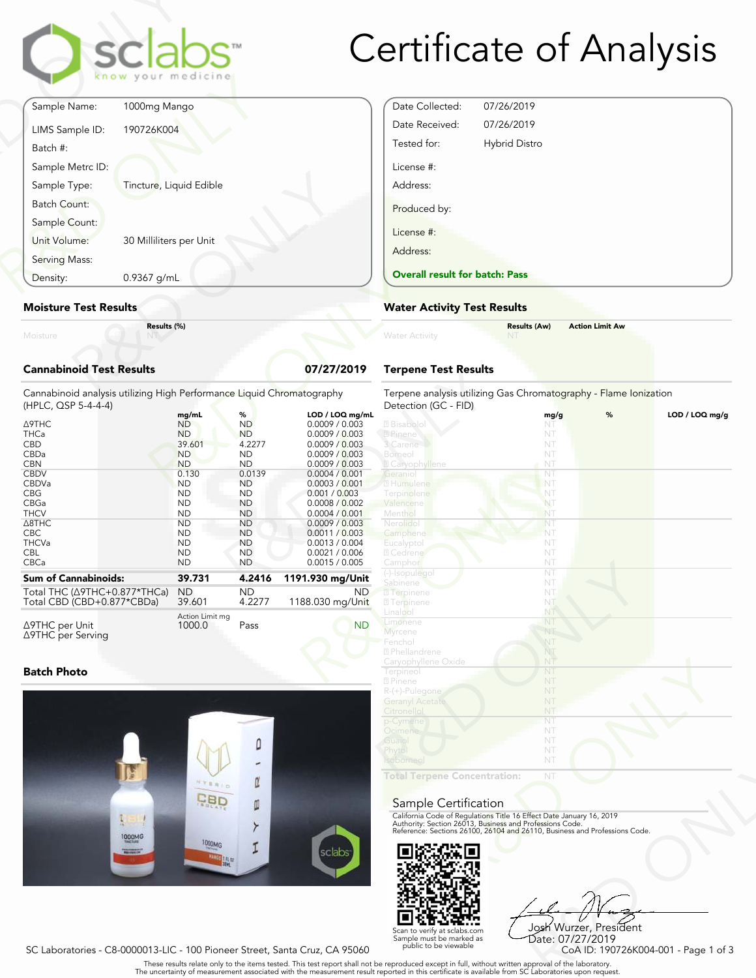

# Certificate of Analysis

| Moisture                         | Results (%)             |  |
|----------------------------------|-------------------------|--|
| <b>Moisture Test Results</b>     |                         |  |
| Density:                         | 0.9367 g/mL             |  |
| Serving Mass:                    |                         |  |
| Sample Count:<br>Unit Volume:    | 30 Milliliters per Unit |  |
| Batch Count:                     |                         |  |
| Sample Metrc ID:<br>Sample Type: | Tincture, Liquid Edible |  |
| Batch #:                         |                         |  |
| LIMS Sample ID:                  | 190726K004              |  |
| Sample Name:                     | 1000mg Mango            |  |

#### Moisture Test Results

### Cannabinoid Test Results 07/27/2019

| Density:                                                                                                                                                                                                    | 0.9367 g/mL |                                                                                                                                                                                                   |                                                                                                                                                                                                |                                                                                                                                                                                                                                                                                              | <b>Overall result for batc</b>                                                                                                                                                                          |
|-------------------------------------------------------------------------------------------------------------------------------------------------------------------------------------------------------------|-------------|---------------------------------------------------------------------------------------------------------------------------------------------------------------------------------------------------|------------------------------------------------------------------------------------------------------------------------------------------------------------------------------------------------|----------------------------------------------------------------------------------------------------------------------------------------------------------------------------------------------------------------------------------------------------------------------------------------------|---------------------------------------------------------------------------------------------------------------------------------------------------------------------------------------------------------|
| <b>Moisture Test Results</b>                                                                                                                                                                                |             |                                                                                                                                                                                                   |                                                                                                                                                                                                |                                                                                                                                                                                                                                                                                              | <b>Water Activity Test R</b>                                                                                                                                                                            |
| Moisture                                                                                                                                                                                                    | Results (%) |                                                                                                                                                                                                   |                                                                                                                                                                                                |                                                                                                                                                                                                                                                                                              | <b>Water Activity</b>                                                                                                                                                                                   |
| <b>Cannabinoid Test Results</b>                                                                                                                                                                             |             |                                                                                                                                                                                                   |                                                                                                                                                                                                | 07/27/2019                                                                                                                                                                                                                                                                                   | <b>Terpene Test Results</b>                                                                                                                                                                             |
| Cannabinoid analysis utilizing High Performance Liquid Chromatography<br>(HPLC, QSP 5-4-4-4)                                                                                                                |             |                                                                                                                                                                                                   |                                                                                                                                                                                                |                                                                                                                                                                                                                                                                                              | Terpene analysis utilizing<br>Detection (GC - FID)                                                                                                                                                      |
| <b>A9THC</b><br><b>THCa</b><br><b>CBD</b><br>CBDa<br><b>CBN</b><br><b>CBDV</b><br><b>CBDVa</b><br><b>CBG</b><br>CBGa<br><b>THCV</b><br>$\triangle$ 8THC<br><b>CBC</b><br><b>THCVa</b><br><b>CBL</b><br>CBCa |             | mg/mL<br><b>ND</b><br><b>ND</b><br>39.601<br><b>ND</b><br><b>ND</b><br>0.130<br><b>ND</b><br><b>ND</b><br><b>ND</b><br><b>ND</b><br><b>ND</b><br><b>ND</b><br><b>ND</b><br><b>ND</b><br><b>ND</b> | %<br><b>ND</b><br><b>ND</b><br>4.2277<br><b>ND</b><br><b>ND</b><br>0.0139<br><b>ND</b><br><b>ND</b><br><b>ND</b><br><b>ND</b><br><b>ND</b><br><b>ND</b><br><b>ND</b><br><b>ND</b><br><b>ND</b> | LOD / LOQ mg/mL<br>0.0009 / 0.003<br>0.0009 / 0.003<br>0.0009 / 0.003<br>0.0009 / 0.003<br>0.0009 / 0.003<br>0.0004 / 0.001<br>0.0003 / 0.001<br>0.001 / 0.003<br>0.0008 / 0.002<br>0.0004 / 0.001<br>0.0009 / 0.003<br>0.0011 / 0.003<br>0.0013 / 0.004<br>0.0021 / 0.006<br>0.0015 / 0.005 | 2 Bisabolol<br>2 Pinene<br>3 Carene<br>Borneo<br><b>Z</b> Caryophyllene<br>Geraniol<br>2 Humulene<br>Terpinolene<br>Valencene<br>Menthol<br>Nerolidol<br>Camphene<br>Eucalyptol<br>2 Cedrene<br>Camphor |
| <b>Sum of Cannabinoids:</b>                                                                                                                                                                                 |             | 39.731                                                                                                                                                                                            | 4.2416                                                                                                                                                                                         | 1191.930 mg/Unit                                                                                                                                                                                                                                                                             | (-)-Isopulegol<br>Sabinene                                                                                                                                                                              |
| Total THC ( $\triangle$ 9THC+0.877*THCa)<br>Total CBD (CBD+0.877*CBDa)                                                                                                                                      |             | <b>ND</b><br>39.601                                                                                                                                                                               | <b>ND</b><br>4.2277                                                                                                                                                                            | ND.<br>1188.030 mg/Unit                                                                                                                                                                                                                                                                      | <b>7</b> Terpinene<br><b>27</b> Terpinene                                                                                                                                                               |
| ∆9THC per Unit<br>∆9THC per Serving                                                                                                                                                                         |             | Action Limit mg<br>1000.0                                                                                                                                                                         | Pass                                                                                                                                                                                           | <b>ND</b>                                                                                                                                                                                                                                                                                    | Linalool<br>Limonene<br><b>Myrcene</b><br>Eanchal                                                                                                                                                       |

### Batch Photo



| Date Collected:<br>07/26/2019<br>07/26/2019<br>Date Received:<br>Tested for:<br><b>Hybrid Distro</b><br>License #:<br>Address:<br>Produced by: |
|------------------------------------------------------------------------------------------------------------------------------------------------|
|                                                                                                                                                |
|                                                                                                                                                |
|                                                                                                                                                |
|                                                                                                                                                |
|                                                                                                                                                |
|                                                                                                                                                |
| License #:                                                                                                                                     |
| Address:                                                                                                                                       |
| <b>Overall result for batch: Pass</b>                                                                                                          |

### Water Activity Test Results

| <b>Water Activity</b> | <b>Results (Aw)</b><br><b>NT</b> | <b>Action Limit Aw</b> |  |
|-----------------------|----------------------------------|------------------------|--|
|                       |                                  |                        |  |

## Terpene Test Results

| atography       | Terpene analysis utilizing Gas Chromatography - Flame Ionization<br>Detection (GC - FID)                                               |      |   |                |
|-----------------|----------------------------------------------------------------------------------------------------------------------------------------|------|---|----------------|
| LOD / LOQ mg/mL |                                                                                                                                        | mg/g | % | LOD / LOQ mg/g |
| 0.0009 / 0.003  | 2 Bisabolol                                                                                                                            | NT   |   |                |
| 0.0009 / 0.003  | 2 Pinene                                                                                                                               | NT   |   |                |
| 0.0009 / 0.003  | 3 Carene                                                                                                                               | NT   |   |                |
| 0.0009 / 0.003  | Borneol                                                                                                                                | NT   |   |                |
| 0.0009 / 0.003  | <b>Z</b> Caryophyllene                                                                                                                 | NT   |   |                |
| 0.0004 / 0.001  | Geranio                                                                                                                                | NT   |   |                |
| 0.0003 / 0.001  | 2 Humulene                                                                                                                             | NT   |   |                |
| 0.001 / 0.003   | Terpinolene                                                                                                                            | NT   |   |                |
| 0.0008 / 0.002  | Valencene                                                                                                                              | NT   |   |                |
| 0.0004 / 0.001  | Menthol                                                                                                                                | NT   |   |                |
| 0.0009 / 0.003  | Nerolidol                                                                                                                              | NT   |   |                |
| 0.0011 / 0.003  | Camphene                                                                                                                               | NT   |   |                |
| 0.0013 / 0.004  | Eucalyptol                                                                                                                             | NT   |   |                |
| 0.0021 / 0.006  | 2 Cedrene                                                                                                                              | NT   |   |                |
| 0.0015 / 0.005  | Camphor                                                                                                                                | NT   |   |                |
|                 | (-)-Isopulegol                                                                                                                         | NT   |   |                |
| 1.930 mg/Unit   | Sabinene                                                                                                                               | NT   |   |                |
| ND.             | <b>7</b> Terpinene                                                                                                                     | NT.  |   |                |
| 88.030 mg/Unit  | <b>7</b> Terpinene                                                                                                                     | NT   |   |                |
|                 | Linalool                                                                                                                               | NT   |   |                |
| <b>ND</b>       | Limonene                                                                                                                               | NT   |   |                |
|                 | <b>Myrcene</b>                                                                                                                         | NT   |   |                |
|                 | Fenchol                                                                                                                                | NT   |   |                |
|                 | 2 Phellandrene                                                                                                                         | NT   |   |                |
|                 | Caryophyllene Oxide                                                                                                                    | NT   |   |                |
|                 | Terpineol                                                                                                                              | NT   |   |                |
|                 | 2 Pinene                                                                                                                               | NT   |   |                |
|                 | R-(+)-Pulegone                                                                                                                         | NT   |   |                |
|                 | <b>Geranyl Acetate</b>                                                                                                                 | NT   |   |                |
|                 | Citronellol                                                                                                                            | NT   |   |                |
|                 | p-Cymene                                                                                                                               | NT   |   |                |
|                 | Ocimene                                                                                                                                | NT   |   |                |
|                 | Guaio                                                                                                                                  | NT   |   |                |
|                 | Phytol                                                                                                                                 | NT   |   |                |
|                 | Isoborneol                                                                                                                             | NT   |   |                |
|                 |                                                                                                                                        |      |   |                |
|                 | <b>Total Terpene Concentration:</b>                                                                                                    | NT   |   |                |
|                 |                                                                                                                                        |      |   |                |
|                 |                                                                                                                                        |      |   |                |
|                 | Sample Certification                                                                                                                   |      |   |                |
|                 | California Code of Regulations Title 16 Effect Date January 16, 2019                                                                   |      |   |                |
|                 | Authority: Section 26013, Business and Professions Code.<br>Reference: Sections 26100, 26104 and 26110, Business and Professions Code. |      |   |                |
|                 |                                                                                                                                        |      |   |                |
|                 |                                                                                                                                        |      |   |                |
|                 |                                                                                                                                        |      |   |                |
| sclabs          |                                                                                                                                        |      |   |                |

#### Sample Certification



NT<br>
NT<br>
Fect Date January 16, 2019<br>
rofessions Code.<br>
9110, Business and Professions Code.<br>
910, Business and Professions Code.<br>
92<br>
Josh Wurzer, President<br>
CoA ID: 190726K004-001 - Page 1 of 3<br>
pproval of the laboratories Josh Wurzer, President Date: 07/27/2019

SC Laboratories - C8-0000013-LIC - 100 Pioneer Street, Santa Cruz, CA 95060

Scan to verify at sclabs.com Sample must be marked as public to be viewable

. These results relate only to the items tested. This test report shall not be reproduced except in full, without written approval of the laboratory.<br>The uncertainty of measurement associated with the measurement result re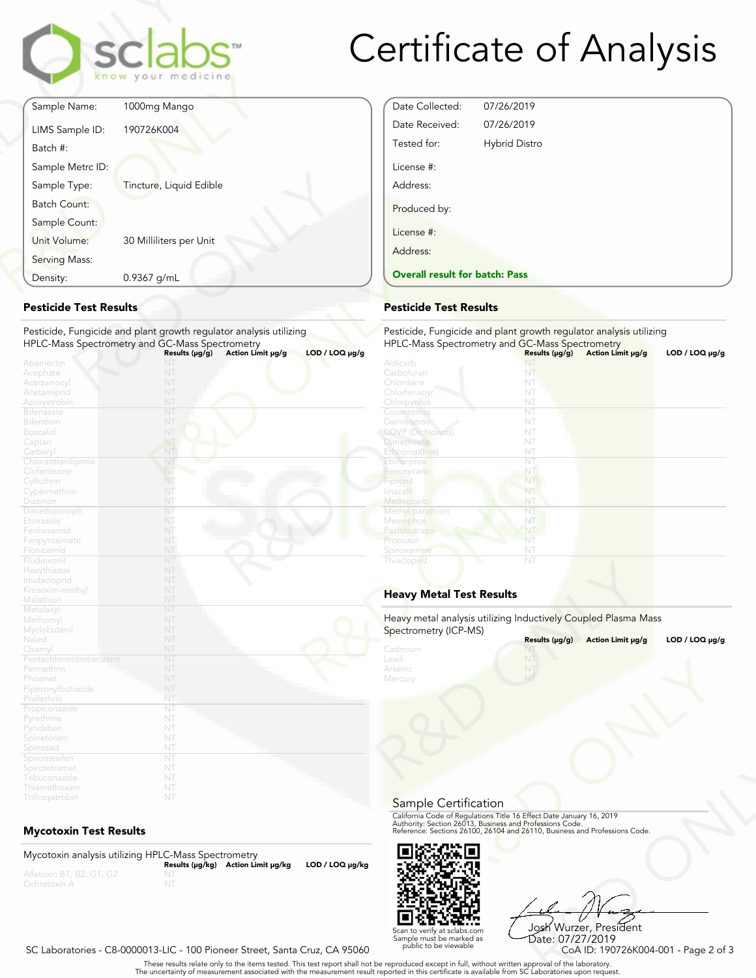

# Certificate of Analysis

Date Collected: 07/26/2019 Date Received: 07/26/2019 Tested for: Hybrid Distro

Overall result for batch: Pass

License #: Address:

Produced by:

License #: Address:

| Sample Name:<br>1000mg Mango<br>190726K004<br>LIMS Sample ID:<br>Batch #:<br>Sample Metrc ID:<br>Sample Type:<br>Tincture, Liquid Edible<br><b>Batch Count:</b><br>Sample Count:<br>Unit Volume:<br>30 Milliliters per Unit<br>Serving Mass: |             | sclabs<br>know your medicine |
|----------------------------------------------------------------------------------------------------------------------------------------------------------------------------------------------------------------------------------------------|-------------|------------------------------|
|                                                                                                                                                                                                                                              |             |                              |
|                                                                                                                                                                                                                                              |             |                              |
|                                                                                                                                                                                                                                              |             |                              |
|                                                                                                                                                                                                                                              |             |                              |
|                                                                                                                                                                                                                                              |             |                              |
|                                                                                                                                                                                                                                              |             |                              |
|                                                                                                                                                                                                                                              |             |                              |
| 0.9367 g/mL<br>Density:                                                                                                                                                                                                                      |             |                              |
|                                                                                                                                                                                                                                              | Abamectin   | NT                           |
| Acephate                                                                                                                                                                                                                                     | Acequinocyl | NT                           |

## Pesticide Test Results

| Density:                                                                                       | 0.9367 g/mL                                                                                                           | <b>Overall result for batc</b>                                                                          |
|------------------------------------------------------------------------------------------------|-----------------------------------------------------------------------------------------------------------------------|---------------------------------------------------------------------------------------------------------|
| <b>Pesticide Test Results</b>                                                                  |                                                                                                                       | <b>Pesticide Test Results</b>                                                                           |
|                                                                                                | Pesticide, Fungicide and plant growth regulator analysis utilizing<br>HPLC-Mass Spectrometry and GC-Mass Spectrometry | Pesticide, Fungicide and<br><b>HPLC-Mass Spectrometry</b>                                               |
| Abamectin<br>Acephate<br>Acequinocyl<br>Acetamiprid<br>Azoxystrobin<br>Bifenazate              | Action Limit µg/g<br>Results $(\mu g/g)$<br>NT<br>NT<br>NT<br>NT<br>NT<br>NT                                          | $LOD / LOQ \mu g/g$<br>Aldicarb<br>Carbofuran<br>Chlordane<br>Chlorfenapyr<br>Chlorpyritos<br>Coumaphos |
| Bifenthrin<br><b>Boscalid</b><br>Captan<br>Carbaryl                                            | NT<br>NT<br>NT<br>NT                                                                                                  | Daminozide<br>DDVP (Dichlorvos)<br><b>Dimethoate</b><br>Ethoprop(hos)                                   |
| Chlorantraniliprole<br>Clofentezine<br>Cyfluthrin<br>Cypermethrin                              | NT<br>NT<br>NT<br>NT<br>NT                                                                                            | Etofenprox<br>Fenoxycarb<br>Fipronil<br>Imazalil                                                        |
| Diazinon<br>Dimethomorph<br>Etoxazole<br>Fenhexamid<br>Fenpyroximate                           | NT<br>NT<br>NT<br>NT                                                                                                  | Methiocarb<br>Methyl parathion<br>Mevinphos<br>Paclobutrazo<br>Propoxur                                 |
| Flonicamid<br>Fludioxonil<br>Hexythiazox<br>Imidacloprid                                       | NT<br>NT<br>NT<br>NT                                                                                                  | Spiroxamine<br>Thiacloprid                                                                              |
| Kresoxim-methyl<br>Malathion                                                                   | NT<br>NT<br>NT                                                                                                        | <b>Heavy Metal Test Res</b>                                                                             |
| Metalaxyl<br>Methomyl<br>Myclobutanil<br>Naled                                                 | NT<br>NT<br>NT                                                                                                        | Heavy metal analysis utiliz<br>Spectrometry (ICP-MS)                                                    |
| Oxamyl<br>Pentachloronitrobenzene<br>Permethrin<br>Phosmet<br>Piperonylbutoxide<br>Prallethrin | NT<br>NT<br>NT<br>NT<br>NT<br>NT                                                                                      | Cadmium<br>Lead<br>Arsenic<br>Mercury                                                                   |
| Propiconazole<br>Pyrethrins<br>Pyridaben<br>Spinetoram                                         | NT<br>NT<br>NT<br>NT                                                                                                  |                                                                                                         |
| Spinosad<br>Spiromesifen<br>Spirotetramat<br>Tebuconazole<br>Thiamethoxam                      | NT<br>NT<br>NT<br>NT<br>NT                                                                                            |                                                                                                         |
| Trifloxystrobin                                                                                | NT                                                                                                                    |                                                                                                         |

## Mycotoxin Test Results

Mycotoxin analysis utilizing HPLC-Mass Spectrometry Results (μg/kg) Action Limit μg/kg LOD / LOQ μg/kg NT



R&D ONLY Josh Wurzer, President Date: 07/27/2019

SC Laboratories - C8-0000013-LIC - 100 Pioneer Street, Santa Cruz, CA 95060

. These results relate only to the items tested. This test report shall not be reproduced except in full, without written approval of the laboratory.<br>The uncertainty of measurement associated with the measurement result re

Scan to verify at sclabs.com Sample must be marked as public to be viewable

|                     | HPLC-Mass Spectrometry and GC-Mass Spectrometry                |                     |                   |                     |
|---------------------|----------------------------------------------------------------|---------------------|-------------------|---------------------|
| $LOD / LOQ \mu g/g$ |                                                                | Results $(\mu g/g)$ | Action Limit µg/g | $LOD / LOQ \mu g/g$ |
|                     | Aldicarb                                                       | NT                  |                   |                     |
|                     | Carbofuran                                                     | NT                  |                   |                     |
|                     | Chlordane                                                      | NT                  |                   |                     |
|                     | Chlorfenapyr                                                   | NT                  |                   |                     |
|                     | Chlorpyrifos                                                   | NT                  |                   |                     |
|                     | Coumaphos                                                      | NT                  |                   |                     |
|                     | Daminozide                                                     | NT                  |                   |                     |
|                     | <b>DDVP</b> (Dichlorvos)                                       | NT                  |                   |                     |
|                     | <b>Dimethoate</b>                                              | NT                  |                   |                     |
|                     | Ethoprop(hos)                                                  | NT                  |                   |                     |
|                     | Etofenprox                                                     | NT                  |                   |                     |
|                     | Fenoxycarb                                                     | NT                  |                   |                     |
|                     | Fipronil                                                       | NT                  |                   |                     |
|                     | Imazalil                                                       | NT                  |                   |                     |
|                     | Methiocarb                                                     | NT                  |                   |                     |
|                     | Methyl parathion                                               | NT                  |                   |                     |
|                     | Mevinphos                                                      | NT                  |                   |                     |
|                     | Paclobutrazol                                                  | NT                  |                   |                     |
|                     | Propoxur                                                       | NT                  |                   |                     |
|                     | Spiroxamine                                                    | NT                  |                   |                     |
|                     | Thiacloprid                                                    | NT                  |                   |                     |
|                     | <b>Heavy Metal Test Results</b>                                |                     |                   |                     |
|                     | Heavy metal analysis utilizing Inductively Coupled Plasma Mass |                     |                   |                     |
|                     | Spectrometry (ICP-MS)                                          |                     |                   |                     |
|                     |                                                                | Results (µg/g)      | Action Limit µg/g | LOD / LOQ $\mu$ g/g |
|                     | Cadmium                                                        | NT                  |                   |                     |
|                     | Lead                                                           | NT                  |                   |                     |
|                     | Arsenic                                                        |                     |                   |                     |
|                     | Mercury                                                        | NT                  |                   |                     |

## Heavy Metal Test Results

Pesticide, Fungicide and plant growth regulator analysis utilizing

| Spectrometry (ICP-MS)                 | Heavy metal analysis utilizing Inductively Coupled Plasma Mass                                                                                                                                                 |                     |
|---------------------------------------|----------------------------------------------------------------------------------------------------------------------------------------------------------------------------------------------------------------|---------------------|
|                                       | Results (µg/g)<br>Action Limit µg/g                                                                                                                                                                            | LOD / LOQ $\mu$ g/g |
| Cadmium<br>Lead<br>Arsenic<br>Mercury | NT                                                                                                                                                                                                             |                     |
| Sample Certification                  |                                                                                                                                                                                                                |                     |
|                                       | California Code of Regulations Title 16 Effect Date January 16, 2019<br>Authority: Section 26013, Business and Professions Code.<br>Reference: Sections 26100, 26104 and 26110, Business and Professions Code. |                     |
|                                       |                                                                                                                                                                                                                |                     |